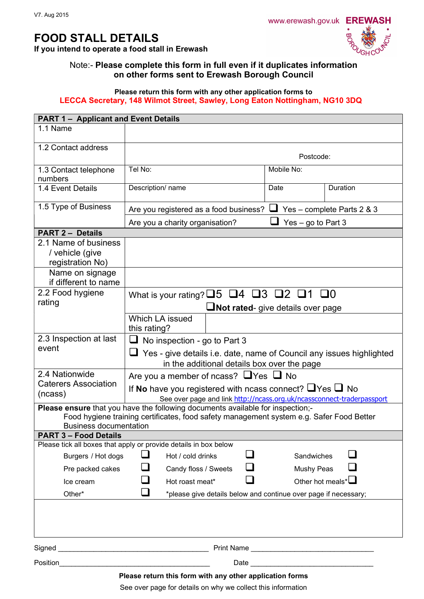# FOOD STALL DETAILS

If you intend to operate a food stall in Erewash



## Note:- Please complete this form in full even if it duplicates information on other forms sent to Erewash Borough Council

### Please return this form with any other application forms to LECCA Secretary, 148 Wilmot Street, Sawley, Long Eaton Nottingham, NG10 3DQ

| <b>PART 1 - Applicant and Event Details</b>                                                                               |                                                                                    |                                                                 |                            |                  |  |
|---------------------------------------------------------------------------------------------------------------------------|------------------------------------------------------------------------------------|-----------------------------------------------------------------|----------------------------|------------------|--|
| 1.1 Name                                                                                                                  |                                                                                    |                                                                 |                            |                  |  |
| 1.2 Contact address                                                                                                       | Postcode:                                                                          |                                                                 |                            |                  |  |
|                                                                                                                           |                                                                                    |                                                                 |                            |                  |  |
| 1.3 Contact telephone<br>numbers                                                                                          | Tel No:                                                                            |                                                                 | Mobile No:                 |                  |  |
| 1.4 Event Details                                                                                                         | Description/ name                                                                  |                                                                 | Date                       | Duration         |  |
| 1.5 Type of Business                                                                                                      | Are you registered as a food business?<br>Are you a charity organisation?          |                                                                 | Yes - complete Parts 2 & 3 |                  |  |
|                                                                                                                           |                                                                                    |                                                                 | Yes – go to Part $3$       |                  |  |
| <b>PART 2 - Details</b>                                                                                                   |                                                                                    |                                                                 |                            |                  |  |
| 2.1 Name of business<br>/ vehicle (give<br>registration No)                                                               |                                                                                    |                                                                 |                            |                  |  |
| Name on signage<br>if different to name                                                                                   |                                                                                    |                                                                 |                            |                  |  |
| 2.2 Food hygiene                                                                                                          | What is your rating? $\square 5 \square 4 \square 3 \square 2 \square 1 \square 0$ |                                                                 |                            |                  |  |
| rating                                                                                                                    | <b>Not rated-</b> give details over page                                           |                                                                 |                            |                  |  |
|                                                                                                                           | Which LA issued                                                                    |                                                                 |                            |                  |  |
|                                                                                                                           | this rating?                                                                       |                                                                 |                            |                  |  |
| 2.3 Inspection at last                                                                                                    | No inspection - go to Part 3<br>⊔                                                  |                                                                 |                            |                  |  |
| event                                                                                                                     | $\Box$ Yes - give details i.e. date, name of Council any issues highlighted        |                                                                 |                            |                  |  |
| in the additional details box over the page                                                                               |                                                                                    |                                                                 |                            |                  |  |
| 2.4 Nationwide                                                                                                            | Are you a member of ncass? $\Box$ Yes $\Box$ No                                    |                                                                 |                            |                  |  |
| <b>Caterers Association</b>                                                                                               | If No have you registered with ncass connect? $\Box$ Yes $\Box$ No                 |                                                                 |                            |                  |  |
| (ncass)                                                                                                                   | See over page and link http://ncass.org.uk/ncassconnect-traderpassport             |                                                                 |                            |                  |  |
| Please ensure that you have the following documents available for inspection;-                                            |                                                                                    |                                                                 |                            |                  |  |
| Food hygiene training certificates, food safety management system e.g. Safer Food Better<br><b>Business documentation</b> |                                                                                    |                                                                 |                            |                  |  |
| <b>PART 3 - Food Details</b>                                                                                              |                                                                                    |                                                                 |                            |                  |  |
| Please tick all boxes that apply or provide details in box below                                                          |                                                                                    |                                                                 |                            |                  |  |
| Burgers / Hot dogs<br>Hot / cold drinks                                                                                   |                                                                                    |                                                                 | Sandwiches                 |                  |  |
| Pre packed cakes                                                                                                          |                                                                                    | Candy floss / Sweets                                            | <b>Mushy Peas</b>          |                  |  |
| Ice cream                                                                                                                 | Hot roast meat*                                                                    |                                                                 |                            | Other hot meals* |  |
| Other*                                                                                                                    |                                                                                    | *please give details below and continue over page if necessary; |                            |                  |  |
|                                                                                                                           |                                                                                    |                                                                 |                            |                  |  |
|                                                                                                                           |                                                                                    |                                                                 |                            |                  |  |
|                                                                                                                           |                                                                                    |                                                                 |                            |                  |  |
| Please return this form with any other application forms                                                                  |                                                                                    |                                                                 |                            |                  |  |

See over page for details on why we collect this information